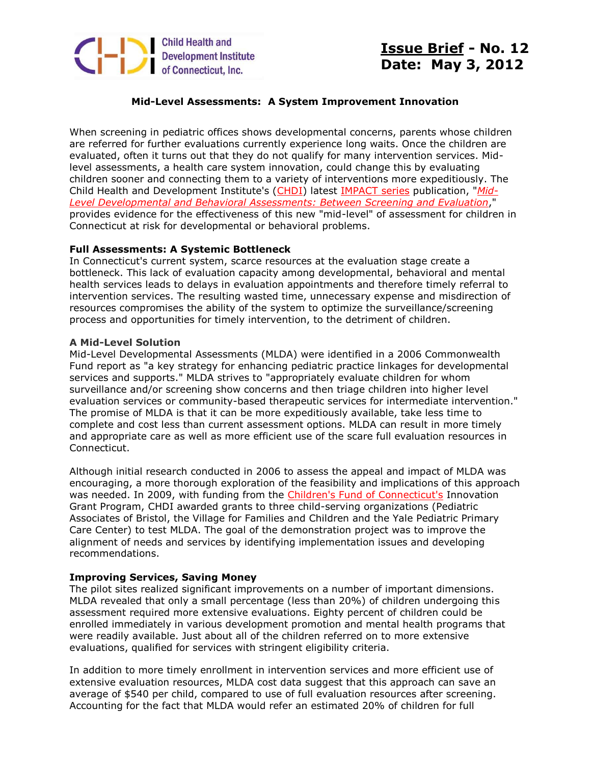

# **Issue Brief - No. 12 Date: May 3, 2012**

## **Mid-Level Assessments: A System Improvement Innovation**

When screening in pediatric offices shows developmental concerns, parents whose children are referred for further evaluations currently experience long waits. Once the children are evaluated, often it turns out that they do not qualify for many intervention services. Midlevel assessments, a health care system innovation, could change this by evaluating children sooner and connecting them to a variety of interventions more expeditiously. The Child Health and Development Institute's [\(CHDI\)](http://r20.rs6.net/tn.jsp?e=001KaCMm1Fm0jqtUzzr0SwZ-gn4fxf3FeScyVSSolG7QilOktGsxzJ0Mp-KAjgsvCUie45OfTbGzs76znrEdEDoCOlRpNc1KBPXbth1T0Uurbk=) latest [IMPACT series](http://r20.rs6.net/tn.jsp?e=001KaCMm1Fm0jr--q1_rmpIFAuaPe7GPPgvpGW9dBn9Gkl5Mr_MUfFvS8c0mLREFx2itpLtsjBM93_sd1jzclEZP4s9c7lYlcYHavRsPYdQPm5GPhaQ-6uo2riF5ss11sfWefeg4yo644sjBvBT6ePkLAI_paMTwB-v) publication, "*[Mid-](http://r20.rs6.net/tn.jsp?e=001KaCMm1Fm0jr0WxEHprls3RleYH-Vy8F_NLqhnnF5KGeG8sGZaQJ2YOiM_vsA2tOe1SIPWMIFZrFwLzXp9a7SbH0SEJoqCxnRAtvk6wELlkj8OIf5dTOr15P4ZyUXYSw0)[Level Developmental and Behavioral Assessments: Between Screening and Evaluation](http://r20.rs6.net/tn.jsp?e=001KaCMm1Fm0jr0WxEHprls3RleYH-Vy8F_NLqhnnF5KGeG8sGZaQJ2YOiM_vsA2tOe1SIPWMIFZrFwLzXp9a7SbH0SEJoqCxnRAtvk6wELlkj8OIf5dTOr15P4ZyUXYSw0)*," provides evidence for the effectiveness of this new "mid-level" of assessment for children in Connecticut at risk for developmental or behavioral problems.

#### **Full Assessments: A Systemic Bottleneck**

In Connecticut's current system, scarce resources at the evaluation stage create a bottleneck. This lack of evaluation capacity among developmental, behavioral and mental health services leads to delays in evaluation appointments and therefore timely referral to intervention services. The resulting wasted time, unnecessary expense and misdirection of resources compromises the ability of the system to optimize the surveillance/screening process and opportunities for timely intervention, to the detriment of children.

#### **A Mid-Level Solution**

Mid-Level Developmental Assessments (MLDA) were identified in a 2006 Commonwealth Fund report as "a key strategy for enhancing pediatric practice linkages for developmental services and supports." MLDA strives to "appropriately evaluate children for whom surveillance and/or screening show concerns and then triage children into higher level evaluation services or community-based therapeutic services for intermediate intervention." The promise of MLDA is that it can be more expeditiously available, take less time to complete and cost less than current assessment options. MLDA can result in more timely and appropriate care as well as more efficient use of the scare full evaluation resources in Connecticut.

Although initial research conducted in 2006 to assess the appeal and impact of MLDA was encouraging, a more thorough exploration of the feasibility and implications of this approach was needed. In 2009, with funding from the [Children's Fund of Connecticut's](http://r20.rs6.net/tn.jsp?e=001KaCMm1Fm0jp7zAQZm8j-lPtcEJKSr_AwwzEmKB_FJCZiyBB3QkKswh0p1FQDyTpqyo7uy32h-v6UqtUx99dQl9iocWFRWNgtmZx1zQYWq3YnkKiQA_CMFO7RrwPE1Z5v) Innovation Grant Program, CHDI awarded grants to three child-serving organizations (Pediatric Associates of Bristol, the Village for Families and Children and the Yale Pediatric Primary Care Center) to test MLDA. The goal of the demonstration project was to improve the alignment of needs and services by identifying implementation issues and developing recommendations.

### **Improving Services, Saving Money**

The pilot sites realized significant improvements on a number of important dimensions. MLDA revealed that only a small percentage (less than 20%) of children undergoing this assessment required more extensive evaluations. Eighty percent of children could be enrolled immediately in various development promotion and mental health programs that were readily available. Just about all of the children referred on to more extensive evaluations, qualified for services with stringent eligibility criteria.

In addition to more timely enrollment in intervention services and more efficient use of extensive evaluation resources, MLDA cost data suggest that this approach can save an average of \$540 per child, compared to use of full evaluation resources after screening. Accounting for the fact that MLDA would refer an estimated 20% of children for full